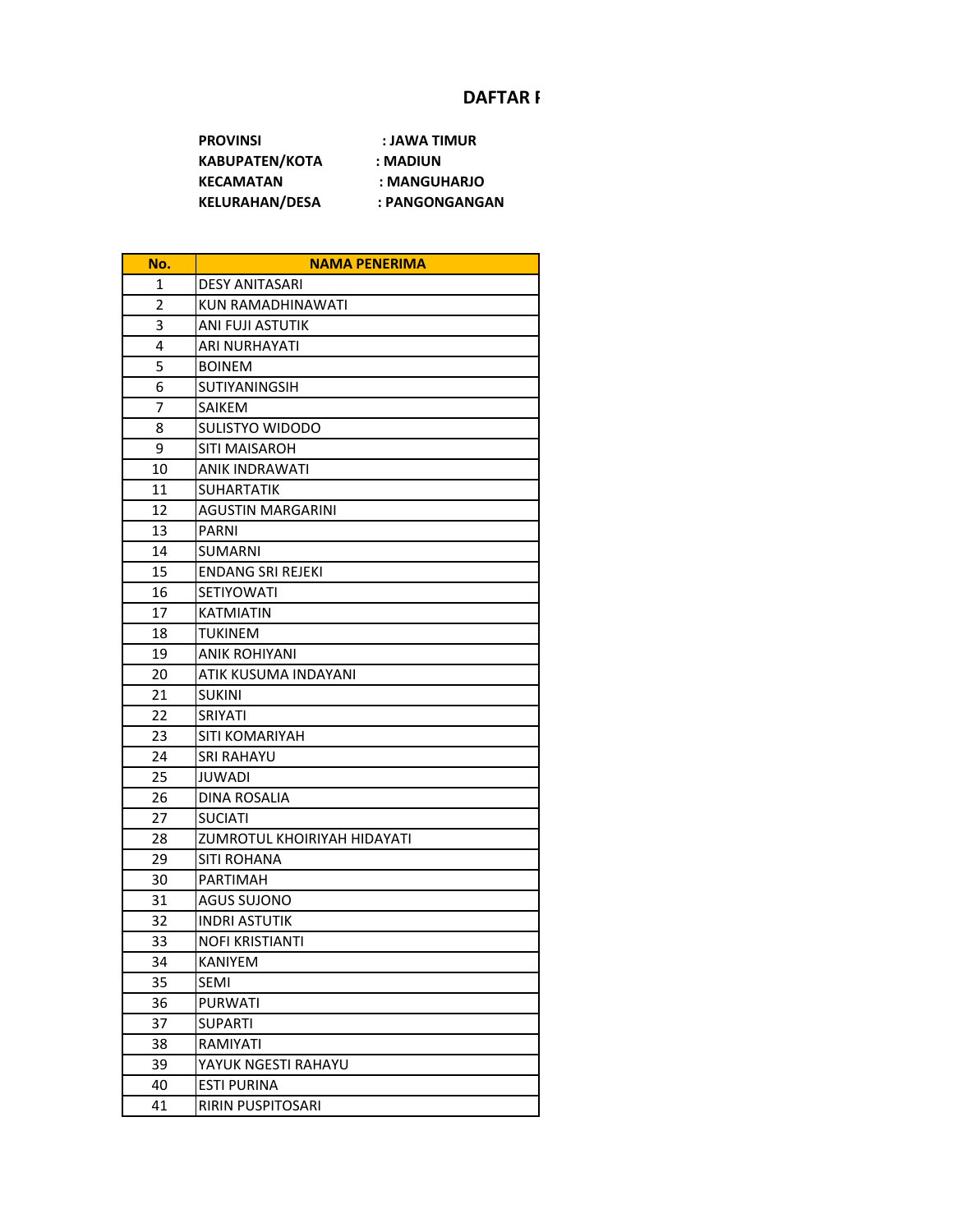## **DAFTAR F**

**PROVINSI : JAWA TIMUR KABUPATEN/KOTA : MADIUN KECAMATAN : MANGUHARJO KELURAHAN/DESA : PANGONGANGAN**

| No.            | <b>NAMA PENERIMA</b>        |
|----------------|-----------------------------|
| 1              | <b>DESY ANITASARI</b>       |
| $\overline{2}$ | KUN RAMADHINAWATI           |
| 3              | ANI FUJI ASTUTIK            |
| 4              | <b>ARI NURHAYATI</b>        |
| 5              | <b>BOINEM</b>               |
| 6              | SUTIYANINGSIH               |
| 7              | <b>SAIKEM</b>               |
| 8              | <b>SULISTYO WIDODO</b>      |
| 9              | SITI MAISAROH               |
| 10             | ANIK INDRAWATI              |
| 11             | <b>SUHARTATIK</b>           |
| 12             | <b>AGUSTIN MARGARINI</b>    |
| 13             | PARNI                       |
| 14             | <b>SUMARNI</b>              |
| 15             | <b>ENDANG SRI REJEKI</b>    |
| 16             | <b>SETIYOWATI</b>           |
| 17             | <b>KATMIATIN</b>            |
| 18             | TUKINEM                     |
| 19             | <b>ANIK ROHIYANI</b>        |
| 20             | ATIK KUSUMA INDAYANI        |
| 21             | <b>SUKINI</b>               |
| 22             | <b>SRIYATI</b>              |
| 23             | <b>SITI KOMARIYAH</b>       |
| 24             | SRI RAHAYU                  |
| 25             | JUWADI                      |
| 26             | <b>DINA ROSALIA</b>         |
| 27             | <b>SUCIATI</b>              |
| 28             | ZUMROTUL KHOIRIYAH HIDAYATI |
| 29             | SITI ROHANA                 |
| 30             | PARTIMAH                    |
| 31             | <b>AGUS SUJONO</b>          |
| 32             | <b>INDRI ASTUTIK</b>        |
| 33             | <b>NOFI KRISTIANTI</b>      |
| 34             | KANIYEM                     |
| 35             | SEMI                        |
| 36             | <b>PURWATI</b>              |
| 37             | SUPARTI                     |
| 38             | RAMIYATI                    |
| 39             | YAYUK NGESTI RAHAYU         |
| 40             | <b>ESTI PURINA</b>          |
| 41             | RIRIN PUSPITOSARI           |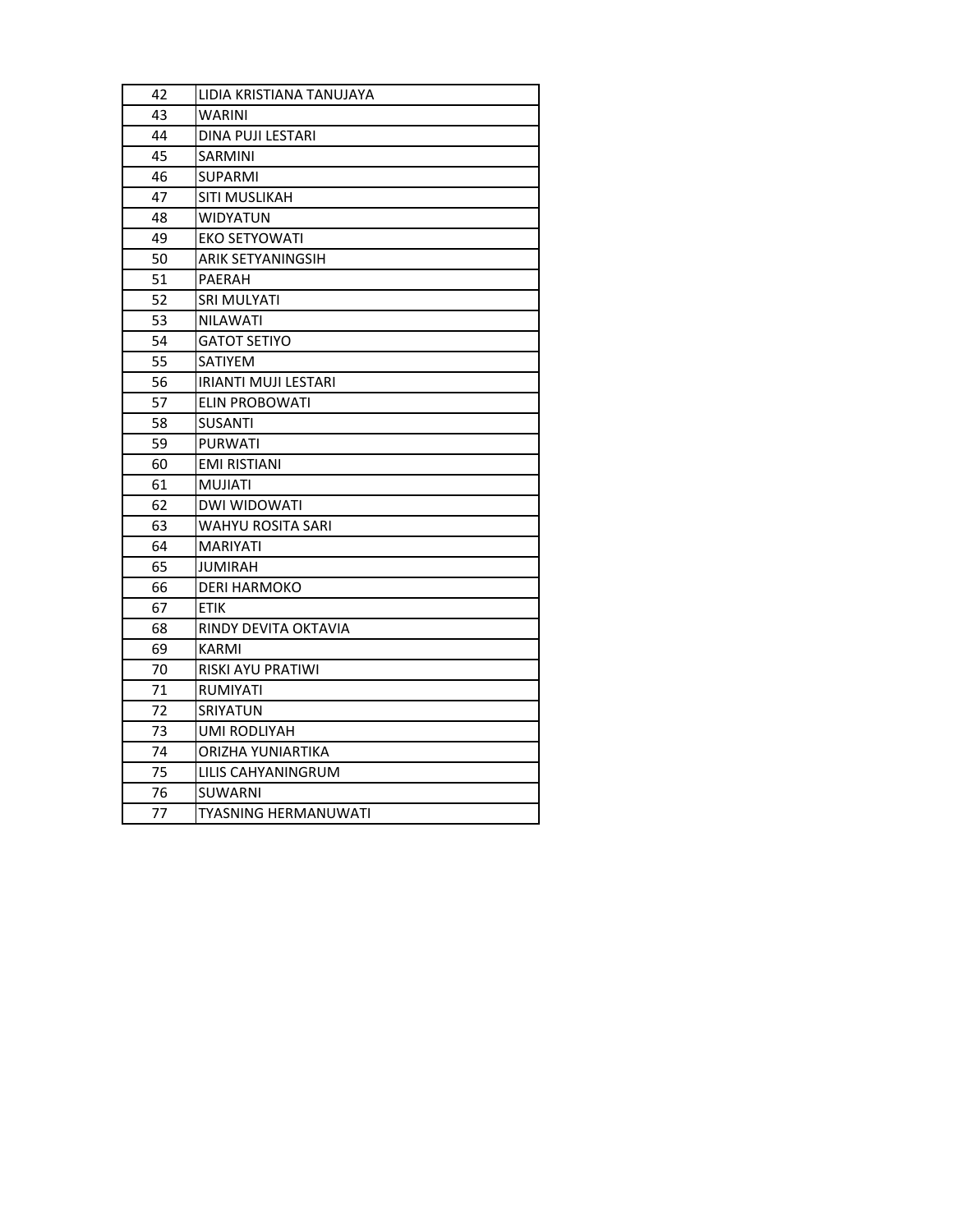| 42 | LIDIA KRISTIANA TANUJAYA |
|----|--------------------------|
| 43 | WARINI                   |
| 44 | DINA PUJI LESTARI        |
| 45 | SARMINI                  |
| 46 | SUPARMI                  |
| 47 | SITI MUSLIKAH            |
| 48 | <b>WIDYATUN</b>          |
| 49 | <b>EKO SETYOWATI</b>     |
| 50 | <b>ARIK SETYANINGSIH</b> |
| 51 | PAERAH                   |
| 52 | SRI MULYATI              |
| 53 | <b>NILAWATI</b>          |
| 54 | <b>GATOT SETIYO</b>      |
| 55 | SATIYEM                  |
| 56 | IRIANTI MUJI LESTARI     |
| 57 | <b>ELIN PROBOWATI</b>    |
| 58 | SUSANTI                  |
| 59 | <b>PURWATI</b>           |
| 60 | <b>EMI RISTIANI</b>      |
| 61 | <b>MUJIATI</b>           |
| 62 | <b>DWI WIDOWATI</b>      |
| 63 | WAHYU ROSITA SARI        |
| 64 | <b>MARIYATI</b>          |
| 65 | JUMIRAH                  |
| 66 | <b>DERI HARMOKO</b>      |
| 67 | ETIK                     |
| 68 | RINDY DEVITA OKTAVIA     |
| 69 | KARMI                    |
| 70 | RISKI AYU PRATIWI        |
| 71 | RUMIYATI                 |
| 72 | SRIYATUN                 |
| 73 | UMI RODLIYAH             |
| 74 | ORIZHA YUNIARTIKA        |
| 75 | LILIS CAHYANINGRUM       |
| 76 | SUWARNI                  |
| 77 | TYASNING HERMANUWATI     |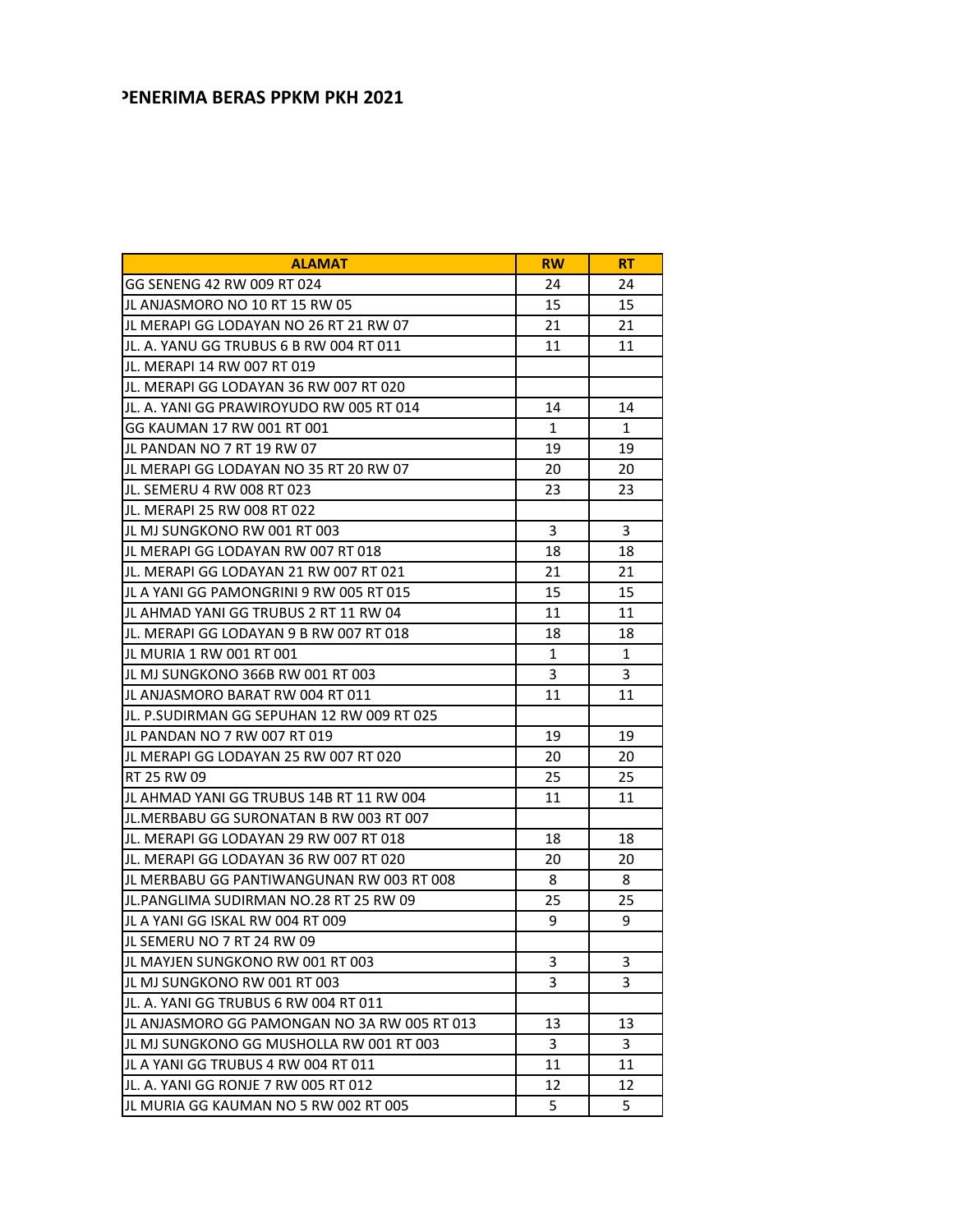## **PENERIMA BERAS PPKM PKH 2021**

| <b>ALAMAT</b>                                | <b>RW</b> | RT |
|----------------------------------------------|-----------|----|
| GG SENENG 42 RW 009 RT 024                   | 24        | 24 |
| JL ANJASMORO NO 10 RT 15 RW 05               | 15        | 15 |
| JL MERAPI GG LODAYAN NO 26 RT 21 RW 07       | 21        | 21 |
| JL. A. YANU GG TRUBUS 6 B RW 004 RT 011      | 11        | 11 |
| JL. MERAPI 14 RW 007 RT 019                  |           |    |
| JL. MERAPI GG LODAYAN 36 RW 007 RT 020       |           |    |
| JL. A. YANI GG PRAWIROYUDO RW 005 RT 014     | 14        | 14 |
| GG KAUMAN 17 RW 001 RT 001                   | 1         | 1  |
| JL PANDAN NO 7 RT 19 RW 07                   | 19        | 19 |
| JL MERAPI GG LODAYAN NO 35 RT 20 RW 07       | 20        | 20 |
| IJL. SEMERU 4 RW 008 RT 023                  | 23        | 23 |
| JL. MERAPI 25 RW 008 RT 022                  |           |    |
| JL MJ SUNGKONO RW 001 RT 003                 | 3         | 3  |
| JL MERAPI GG LODAYAN RW 007 RT 018           | 18        | 18 |
| JL. MERAPI GG LODAYAN 21 RW 007 RT 021       | 21        | 21 |
| JL A YANI GG PAMONGRINI 9 RW 005 RT 015      | 15        | 15 |
| JL AHMAD YANI GG TRUBUS 2 RT 11 RW 04        | 11        | 11 |
| JL. MERAPI GG LODAYAN 9 B RW 007 RT 018      | 18        | 18 |
| JL MURIA 1 RW 001 RT 001                     | 1         | 1  |
| JL MJ SUNGKONO 366B RW 001 RT 003            | 3         | 3  |
| JL ANJASMORO BARAT RW 004 RT 011             | 11        | 11 |
| JL. P.SUDIRMAN GG SEPUHAN 12 RW 009 RT 025   |           |    |
| JL PANDAN NO 7 RW 007 RT 019                 | 19        | 19 |
| JL MERAPI GG LODAYAN 25 RW 007 RT 020        | 20        | 20 |
| RT 25 RW 09                                  | 25        | 25 |
| JL AHMAD YANI GG TRUBUS 14B RT 11 RW 004     | 11        | 11 |
| JL.MERBABU GG SURONATAN B RW 003 RT 007      |           |    |
| JL. MERAPI GG LODAYAN 29 RW 007 RT 018       | 18        | 18 |
| JL. MERAPI GG LODAYAN 36 RW 007 RT 020       | 20        | 20 |
| JL MERBABU GG PANTIWANGUNAN RW 003 RT 008    | 8         | 8  |
| JL.PANGLIMA SUDIRMAN NO.28 RT 25 RW 09       | 25        | 25 |
| IJL A YANI GG ISKAL RW 004 RT 009            | 9         | 9  |
| JL SEMERU NO 7 RT 24 RW 09                   |           |    |
| JL MAYJEN SUNGKONO RW 001 RT 003             | 3         | 3  |
| JL MJ SUNGKONO RW 001 RT 003                 | 3         | 3  |
| JL. A. YANI GG TRUBUS 6 RW 004 RT 011        |           |    |
| JL ANJASMORO GG PAMONGAN NO 3A RW 005 RT 013 | 13        | 13 |
| JL MJ SUNGKONO GG MUSHOLLA RW 001 RT 003     | 3         | 3  |
| JL A YANI GG TRUBUS 4 RW 004 RT 011          | 11        | 11 |
| JL. A. YANI GG RONJE 7 RW 005 RT 012         | 12        | 12 |
| JL MURIA GG KAUMAN NO 5 RW 002 RT 005        | 5         | 5  |